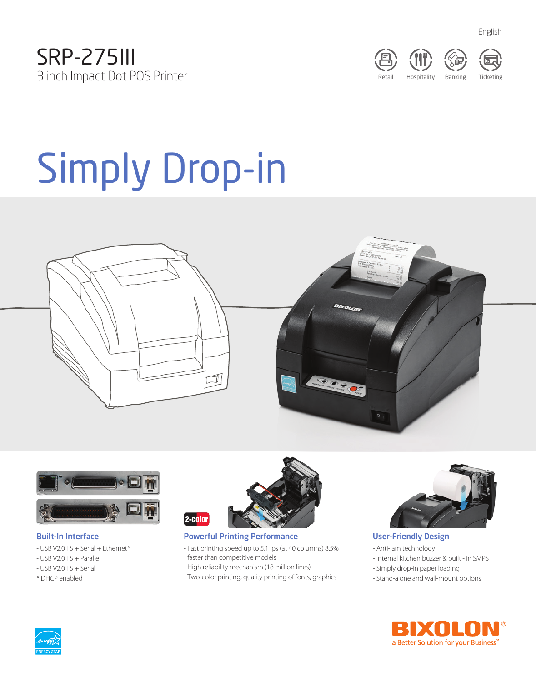



English

# Simply Drop-in





#### Built-In Interface

- USB V2.0 FS + Serial + Ethernet\*
- USB V2.0 FS + Parallel
- USB V2.0 FS + Serial
- \* DHCP enabled



## Powerful Printing Performance

- Fast printing speed up to 5.1 lps (at 40 columns) 8.5% faster than competitive models
- High reliability mechanism (18 million lines)
- Two-color printing, quality printing of fonts, graphics



# User-Friendly Design

- Anti-jam technology
- Internal kitchen buzzer & built in SMPS
- Simply drop-in paper loading
- Stand-alone and wall-mount options